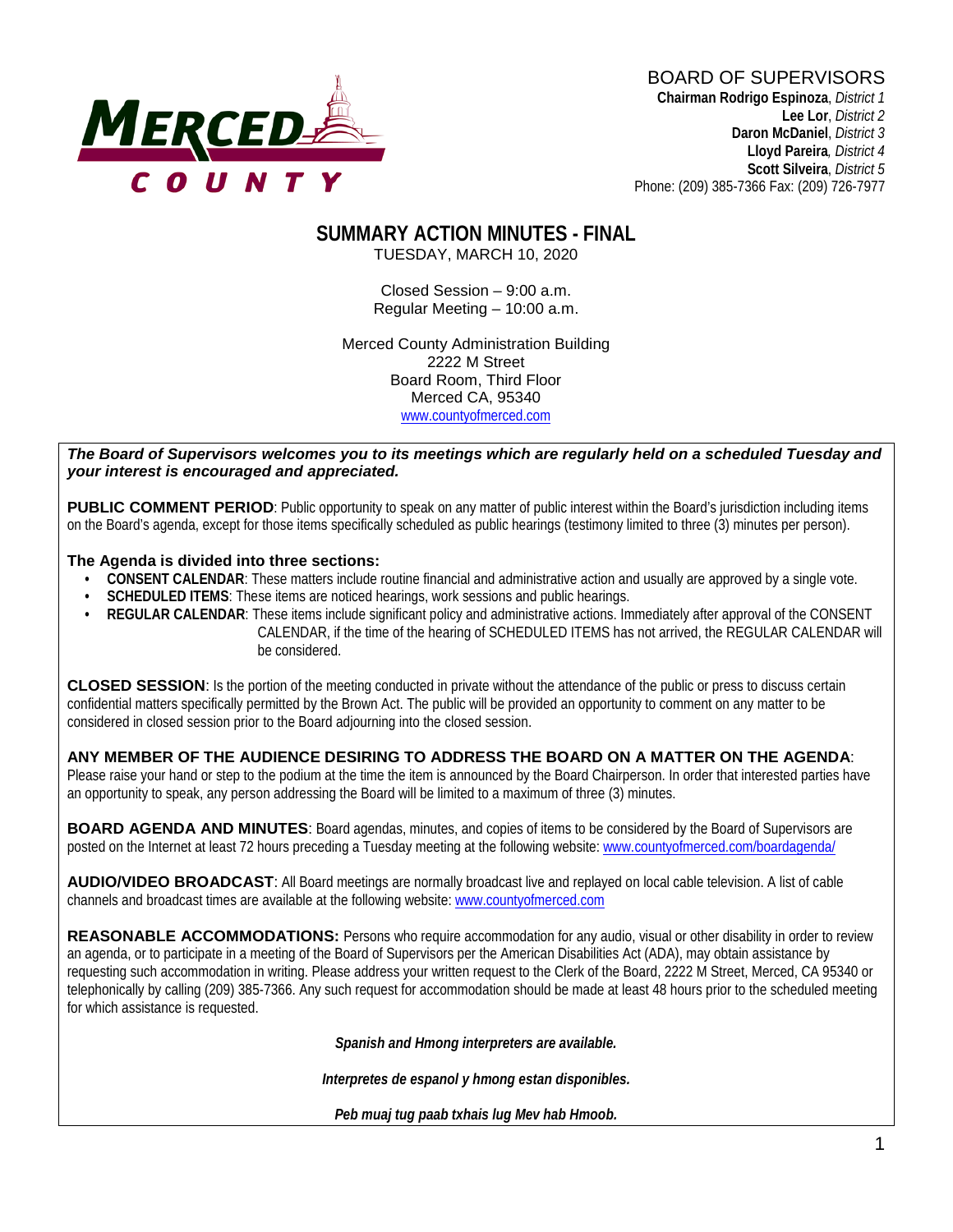# **MERCED-**

#### BOARD OF SUPERVISORS **Chairman Rodrigo Espinoza**, *District 1*

**Lee Lor**, *District 2*  **Daron McDaniel**, *District 3* **Lloyd Pareira***, District 4*  **Scott Silveira**, *District 5* Phone: (209) 385-7366 Fax: (209) 726-7977

# **SUMMARY ACTION MINUTES - FINAL**

TUESDAY, MARCH 10, 2020

Closed Session – 9:00 a.m. Regular Meeting – 10:00 a.m.

Merced County Administration Building 2222 M Street Board Room, Third Floor Merced CA, 95340 www.countyofmerced.com

#### *The Board of Supervisors welcomes you to its meetings which are regularly held on a scheduled Tuesday and your interest is encouraged and appreciated.*

**PUBLIC COMMENT PERIOD:** Public opportunity to speak on any matter of public interest within the Board's jurisdiction including items on the Board's agenda, except for those items specifically scheduled as public hearings (testimony limited to three (3) minutes per person).

#### **The Agenda is divided into three sections:**

- **CONSENT CALENDAR**: These matters include routine financial and administrative action and usually are approved by a single vote.
- **SCHEDULED ITEMS:** These items are noticed hearings, work sessions and public hearings.
- **REGULAR CALENDAR**: These items include significant policy and administrative actions. Immediately after approval of the CONSENT CALENDAR, if the time of the hearing of SCHEDULED ITEMS has not arrived, the REGULAR CALENDAR will be considered.

**CLOSED SESSION**: Is the portion of the meeting conducted in private without the attendance of the public or press to discuss certain confidential matters specifically permitted by the Brown Act. The public will be provided an opportunity to comment on any matter to be considered in closed session prior to the Board adjourning into the closed session.

#### **ANY MEMBER OF THE AUDIENCE DESIRING TO ADDRESS THE BOARD ON A MATTER ON THE AGENDA**:

Please raise your hand or step to the podium at the time the item is announced by the Board Chairperson. In order that interested parties have an opportunity to speak, any person addressing the Board will be limited to a maximum of three (3) minutes.

**BOARD AGENDA AND MINUTES:** Board agendas, minutes, and copies of items to be considered by the Board of Supervisors are posted on the Internet at least 72 hours preceding a Tuesday meeting at the following website: [www.countyofmerced.com/boardagenda/](http://www.countyofmerced.com/boardagenda/) 

**AUDIO/VIDEO BROADCAST**: All Board meetings are normally broadcast live and replayed on local cable television. A list of cable channels and broadcast times are available at the following website[: www.countyofmerced.com](http://www.countyofmerced.com/)

**REASONABLE ACCOMMODATIONS:** Persons who require accommodation for any audio, visual or other disability in order to review an agenda, or to participate in a meeting of the Board of Supervisors per the American Disabilities Act (ADA), may obtain assistance by requesting such accommodation in writing. Please address your written request to the Clerk of the Board, 2222 M Street, Merced, CA 95340 or telephonically by calling (209) 385-7366. Any such request for accommodation should be made at least 48 hours prior to the scheduled meeting for which assistance is requested.

*Spanish and Hmong interpreters are available.*

*Interpretes de espanol y hmong estan disponibles.*

*Peb muaj tug paab txhais lug Mev hab Hmoob.*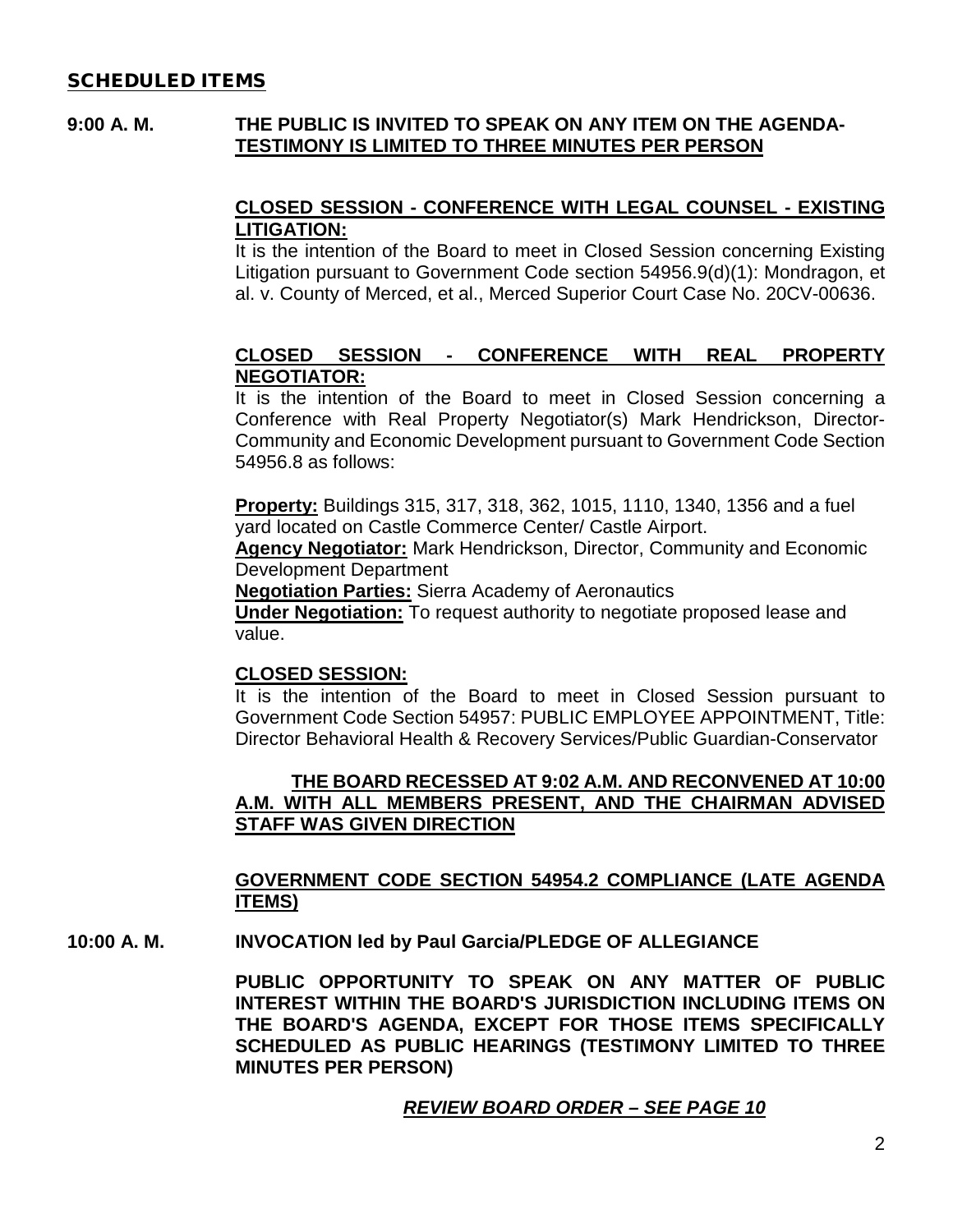#### SCHEDULED ITEMS

#### **9:00 A. M. THE PUBLIC IS INVITED TO SPEAK ON ANY ITEM ON THE AGENDA-TESTIMONY IS LIMITED TO THREE MINUTES PER PERSON**

#### **CLOSED SESSION - CONFERENCE WITH LEGAL COUNSEL - EXISTING LITIGATION:**

It is the intention of the Board to meet in Closed Session concerning Existing Litigation pursuant to Government Code section 54956.9(d)(1): Mondragon, et al. v. County of Merced, et al., Merced Superior Court Case No. 20CV-00636.

#### **CLOSED SESSION - CONFERENCE WITH REAL PROPERTY NEGOTIATOR:**

It is the intention of the Board to meet in Closed Session concerning a Conference with Real Property Negotiator(s) Mark Hendrickson, Director-Community and Economic Development pursuant to Government Code Section 54956.8 as follows:

**Property:** Buildings 315, 317, 318, 362, 1015, 1110, 1340, 1356 and a fuel yard located on Castle Commerce Center/ Castle Airport.

**Agency Negotiator:** Mark Hendrickson, Director, Community and Economic Development Department

**Negotiation Parties:** Sierra Academy of Aeronautics

**Under Negotiation:** To request authority to negotiate proposed lease and value.

#### **CLOSED SESSION:**

It is the intention of the Board to meet in Closed Session pursuant to Government Code Section 54957: PUBLIC EMPLOYEE APPOINTMENT, Title: Director Behavioral Health & Recovery Services/Public Guardian-Conservator

#### **THE BOARD RECESSED AT 9:02 A.M. AND RECONVENED AT 10:00 A.M. WITH ALL MEMBERS PRESENT, AND THE CHAIRMAN ADVISED STAFF WAS GIVEN DIRECTION**

#### **GOVERNMENT CODE SECTION 54954.2 COMPLIANCE (LATE AGENDA ITEMS)**

**10:00 A. M. INVOCATION led by Paul Garcia/PLEDGE OF ALLEGIANCE**

**PUBLIC OPPORTUNITY TO SPEAK ON ANY MATTER OF PUBLIC INTEREST WITHIN THE BOARD'S JURISDICTION INCLUDING ITEMS ON THE BOARD'S AGENDA, EXCEPT FOR THOSE ITEMS SPECIFICALLY SCHEDULED AS PUBLIC HEARINGS (TESTIMONY LIMITED TO THREE MINUTES PER PERSON)**

#### *REVIEW BOARD ORDER – SEE PAGE 10*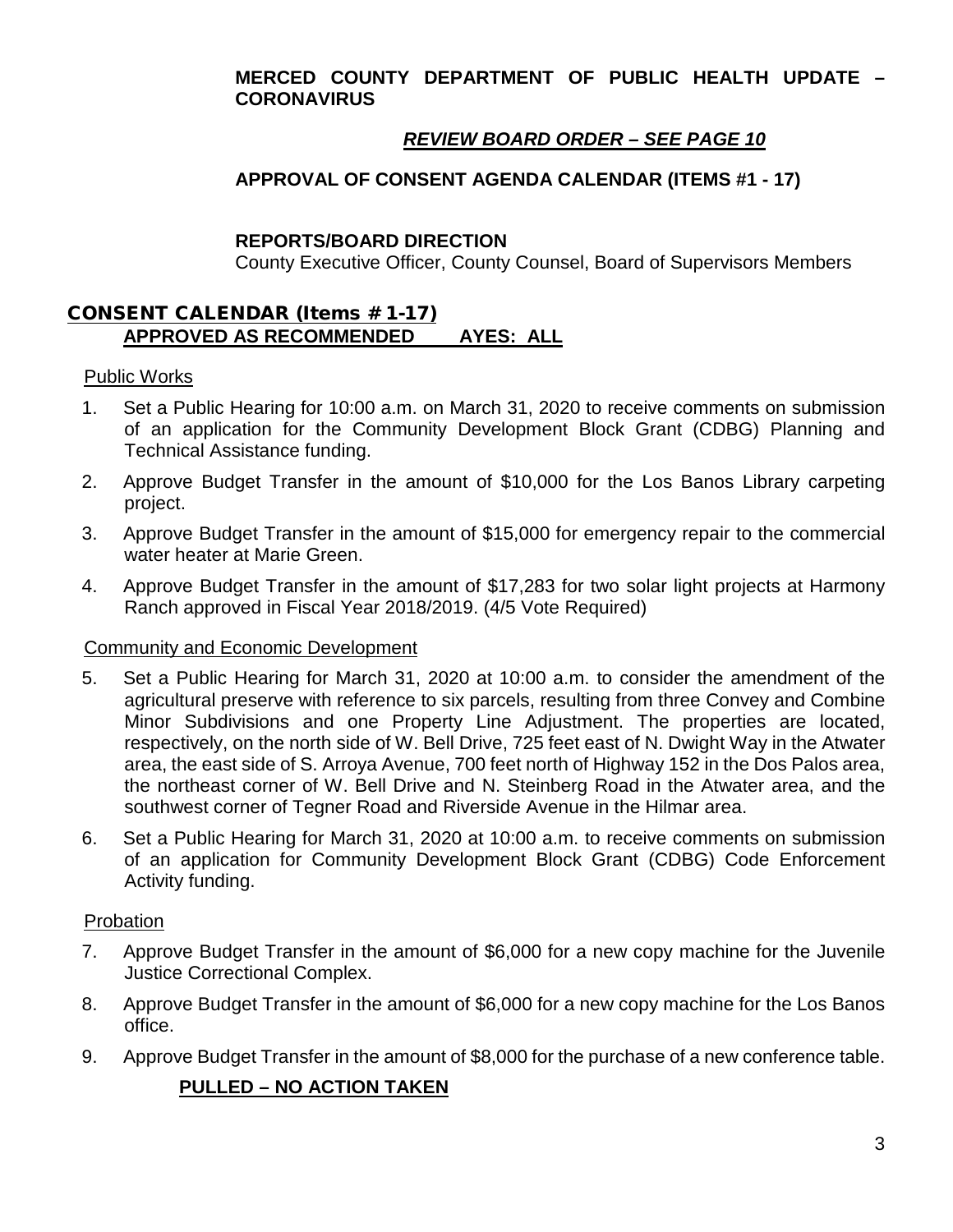#### **MERCED COUNTY DEPARTMENT OF PUBLIC HEALTH UPDATE – CORONAVIRUS**

# *REVIEW BOARD ORDER – SEE PAGE 10*

# **APPROVAL OF CONSENT AGENDA CALENDAR (ITEMS #1 - 17)**

#### **REPORTS/BOARD DIRECTION**

County Executive Officer, County Counsel, Board of Supervisors Members

#### CONSENT CALENDAR (Items # 1-17) **APPROVED AS RECOMMENDED AYES: ALL**

#### Public Works

- 1. Set a Public Hearing for 10:00 a.m. on March 31, 2020 to receive comments on submission of an application for the Community Development Block Grant (CDBG) Planning and Technical Assistance funding.
- 2. Approve Budget Transfer in the amount of \$10,000 for the Los Banos Library carpeting project.
- 3. Approve Budget Transfer in the amount of \$15,000 for emergency repair to the commercial water heater at Marie Green.
- 4. Approve Budget Transfer in the amount of \$17,283 for two solar light projects at Harmony Ranch approved in Fiscal Year 2018/2019. (4/5 Vote Required)

#### Community and Economic Development

- 5. Set a Public Hearing for March 31, 2020 at 10:00 a.m. to consider the amendment of the agricultural preserve with reference to six parcels, resulting from three Convey and Combine Minor Subdivisions and one Property Line Adjustment. The properties are located, respectively, on the north side of W. Bell Drive, 725 feet east of N. Dwight Way in the Atwater area, the east side of S. Arroya Avenue, 700 feet north of Highway 152 in the Dos Palos area, the northeast corner of W. Bell Drive and N. Steinberg Road in the Atwater area, and the southwest corner of Tegner Road and Riverside Avenue in the Hilmar area.
- 6. Set a Public Hearing for March 31, 2020 at 10:00 a.m. to receive comments on submission of an application for Community Development Block Grant (CDBG) Code Enforcement Activity funding.

#### **Probation**

- 7. Approve Budget Transfer in the amount of \$6,000 for a new copy machine for the Juvenile Justice Correctional Complex.
- 8. Approve Budget Transfer in the amount of \$6,000 for a new copy machine for the Los Banos office.
- 9. Approve Budget Transfer in the amount of \$8,000 for the purchase of a new conference table.

# **PULLED – NO ACTION TAKEN**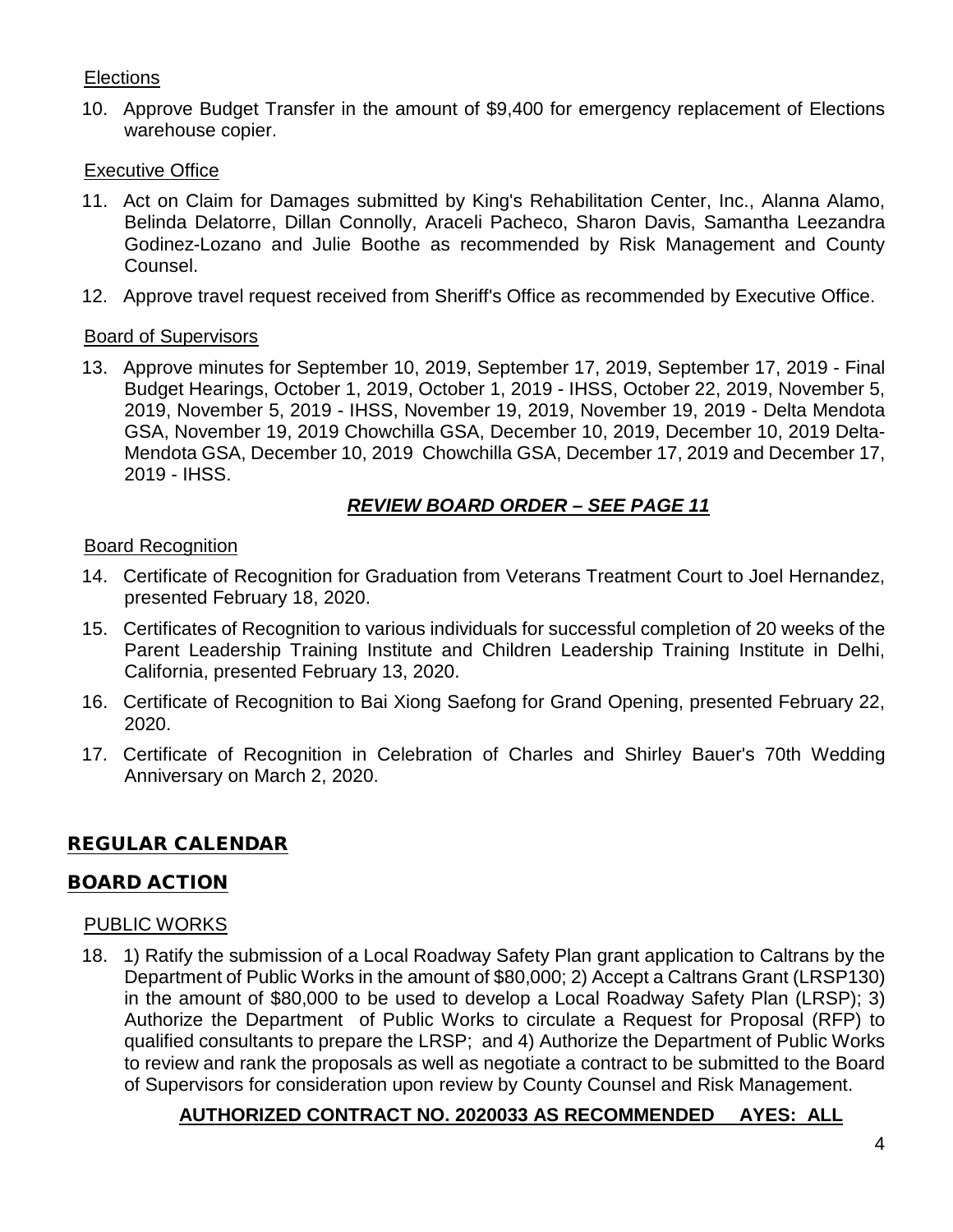# **Elections**

10. Approve Budget Transfer in the amount of \$9,400 for emergency replacement of Elections warehouse copier.

#### **Executive Office**

- 11. Act on Claim for Damages submitted by King's Rehabilitation Center, Inc., Alanna Alamo, Belinda Delatorre, Dillan Connolly, Araceli Pacheco, Sharon Davis, Samantha Leezandra Godinez-Lozano and Julie Boothe as recommended by Risk Management and County Counsel.
- 12. Approve travel request received from Sheriff's Office as recommended by Executive Office.

#### Board of Supervisors

13. Approve minutes for September 10, 2019, September 17, 2019, September 17, 2019 - Final Budget Hearings, October 1, 2019, October 1, 2019 - IHSS, October 22, 2019, November 5, 2019, November 5, 2019 - IHSS, November 19, 2019, November 19, 2019 - Delta Mendota GSA, November 19, 2019 Chowchilla GSA, December 10, 2019, December 10, 2019 Delta-Mendota GSA, December 10, 2019 Chowchilla GSA, December 17, 2019 and December 17, 2019 - IHSS.

# *REVIEW BOARD ORDER – SEE PAGE 11*

#### Board Recognition

- 14. Certificate of Recognition for Graduation from Veterans Treatment Court to Joel Hernandez, presented February 18, 2020.
- 15. Certificates of Recognition to various individuals for successful completion of 20 weeks of the Parent Leadership Training Institute and Children Leadership Training Institute in Delhi, California, presented February 13, 2020.
- 16. Certificate of Recognition to Bai Xiong Saefong for Grand Opening, presented February 22, 2020.
- 17. Certificate of Recognition in Celebration of Charles and Shirley Bauer's 70th Wedding Anniversary on March 2, 2020.

# REGULAR CALENDAR

#### BOARD ACTION

#### PUBLIC WORKS

18. 1) Ratify the submission of a Local Roadway Safety Plan grant application to Caltrans by the Department of Public Works in the amount of \$80,000; 2) Accept a Caltrans Grant (LRSP130) in the amount of \$80,000 to be used to develop a Local Roadway Safety Plan (LRSP); 3) Authorize the Department of Public Works to circulate a Request for Proposal (RFP) to qualified consultants to prepare the LRSP; and 4) Authorize the Department of Public Works to review and rank the proposals as well as negotiate a contract to be submitted to the Board of Supervisors for consideration upon review by County Counsel and Risk Management.

# **AUTHORIZED CONTRACT NO. 2020033 AS RECOMMENDED AYES: ALL**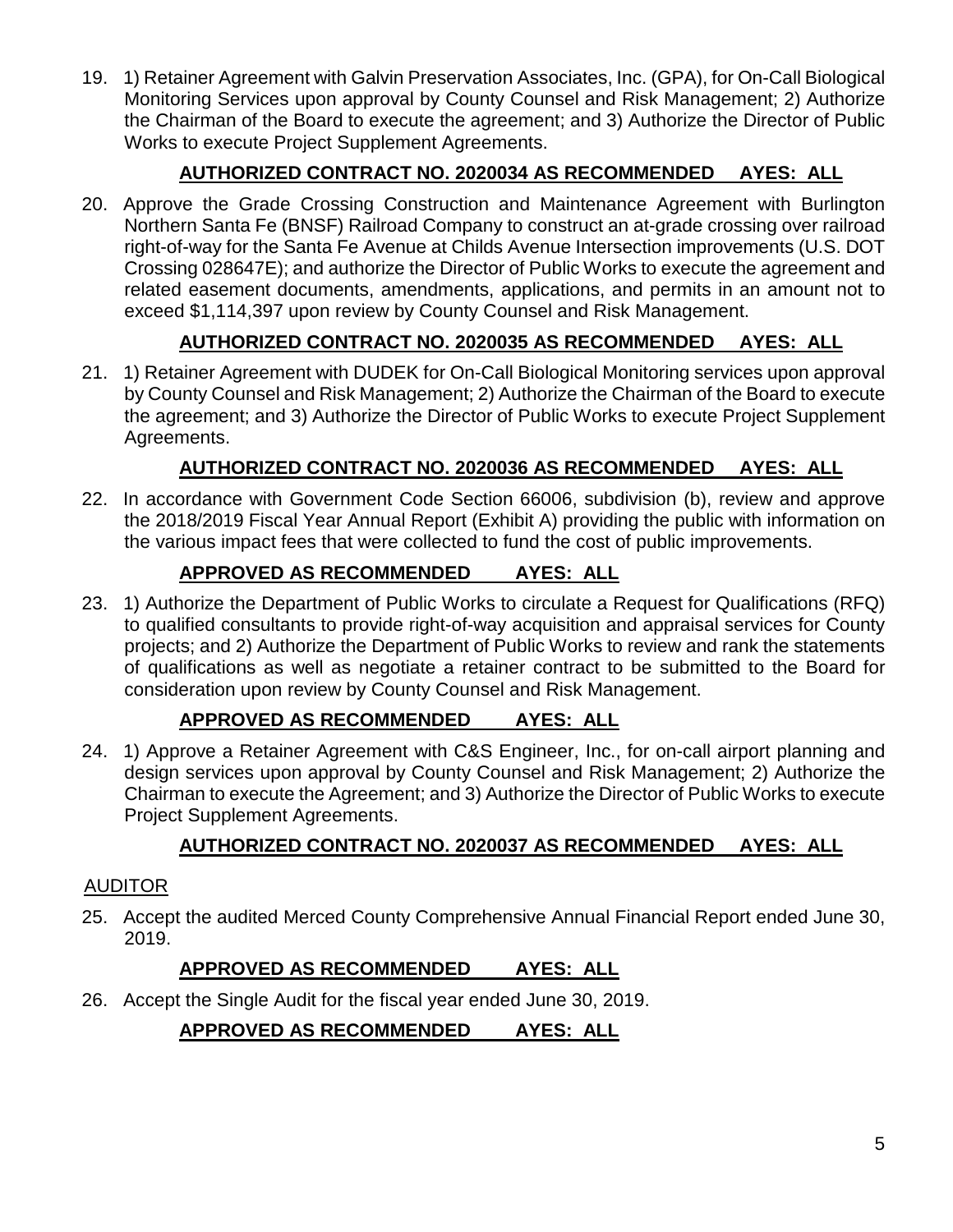19. 1) Retainer Agreement with Galvin Preservation Associates, Inc. (GPA), for On-Call Biological Monitoring Services upon approval by County Counsel and Risk Management; 2) Authorize the Chairman of the Board to execute the agreement; and 3) Authorize the Director of Public Works to execute Project Supplement Agreements.

# **AUTHORIZED CONTRACT NO. 2020034 AS RECOMMENDED AYES: ALL**

20. Approve the Grade Crossing Construction and Maintenance Agreement with Burlington Northern Santa Fe (BNSF) Railroad Company to construct an at-grade crossing over railroad right-of-way for the Santa Fe Avenue at Childs Avenue Intersection improvements (U.S. DOT Crossing 028647E); and authorize the Director of Public Works to execute the agreement and related easement documents, amendments, applications, and permits in an amount not to exceed \$1,114,397 upon review by County Counsel and Risk Management.

# **AUTHORIZED CONTRACT NO. 2020035 AS RECOMMENDED AYES: ALL**

21. 1) Retainer Agreement with DUDEK for On-Call Biological Monitoring services upon approval by County Counsel and Risk Management; 2) Authorize the Chairman of the Board to execute the agreement; and 3) Authorize the Director of Public Works to execute Project Supplement Agreements.

# **AUTHORIZED CONTRACT NO. 2020036 AS RECOMMENDED AYES: ALL**

22. In accordance with Government Code Section 66006, subdivision (b), review and approve the 2018/2019 Fiscal Year Annual Report (Exhibit A) providing the public with information on the various impact fees that were collected to fund the cost of public improvements.

# **APPROVED AS RECOMMENDED AYES: ALL**

23. 1) Authorize the Department of Public Works to circulate a Request for Qualifications (RFQ) to qualified consultants to provide right-of-way acquisition and appraisal services for County projects; and 2) Authorize the Department of Public Works to review and rank the statements of qualifications as well as negotiate a retainer contract to be submitted to the Board for consideration upon review by County Counsel and Risk Management.

# **APPROVED AS RECOMMENDED AYES: ALL**

24. 1) Approve a Retainer Agreement with C&S Engineer, Inc., for on-call airport planning and design services upon approval by County Counsel and Risk Management; 2) Authorize the Chairman to execute the Agreement; and 3) Authorize the Director of Public Works to execute Project Supplement Agreements.

# **AUTHORIZED CONTRACT NO. 2020037 AS RECOMMENDED AYES: ALL**

# AUDITOR

25. Accept the audited Merced County Comprehensive Annual Financial Report ended June 30, 2019.

# **APPROVED AS RECOMMENDED AYES: ALL**

26. Accept the Single Audit for the fiscal year ended June 30, 2019.

# **APPROVED AS RECOMMENDED AYES: ALL**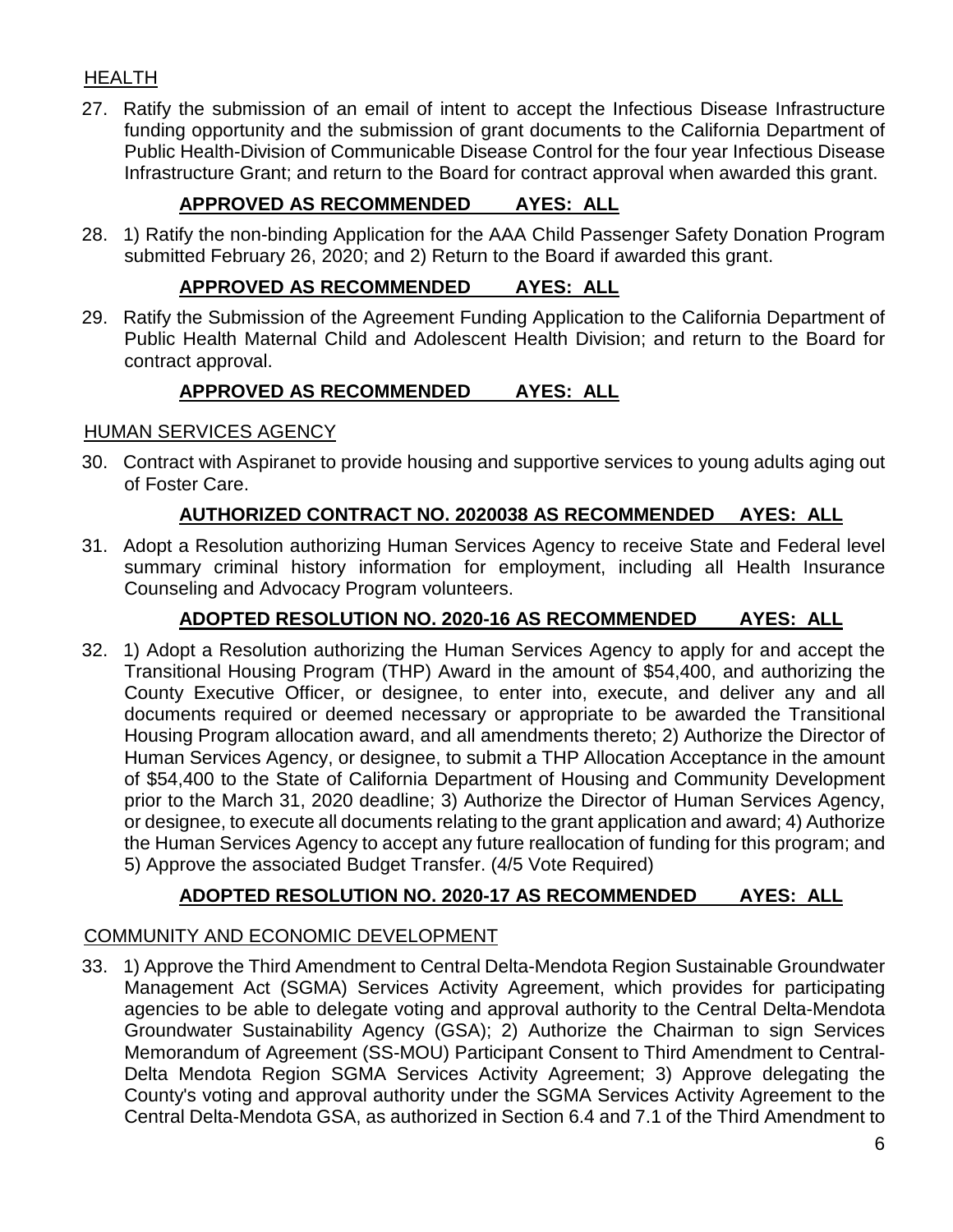# HEALTH

27. Ratify the submission of an email of intent to accept the Infectious Disease Infrastructure funding opportunity and the submission of grant documents to the California Department of Public Health-Division of Communicable Disease Control for the four year Infectious Disease Infrastructure Grant; and return to the Board for contract approval when awarded this grant.

# **APPROVED AS RECOMMENDED AYES: ALL**

28. 1) Ratify the non-binding Application for the AAA Child Passenger Safety Donation Program submitted February 26, 2020; and 2) Return to the Board if awarded this grant.

# **APPROVED AS RECOMMENDED AYES: ALL**

29. Ratify the Submission of the Agreement Funding Application to the California Department of Public Health Maternal Child and Adolescent Health Division; and return to the Board for contract approval.

# **APPROVED AS RECOMMENDED AYES: ALL**

#### HUMAN SERVICES AGENCY

30. Contract with Aspiranet to provide housing and supportive services to young adults aging out of Foster Care.

#### **AUTHORIZED CONTRACT NO. 2020038 AS RECOMMENDED AYES: ALL**

31. Adopt a Resolution authorizing Human Services Agency to receive State and Federal level summary criminal history information for employment, including all Health Insurance Counseling and Advocacy Program volunteers.

# **ADOPTED RESOLUTION NO. 2020-16 AS RECOMMENDED AYES: ALL**

32. 1) Adopt a Resolution authorizing the Human Services Agency to apply for and accept the Transitional Housing Program (THP) Award in the amount of \$54,400, and authorizing the County Executive Officer, or designee, to enter into, execute, and deliver any and all documents required or deemed necessary or appropriate to be awarded the Transitional Housing Program allocation award, and all amendments thereto; 2) Authorize the Director of Human Services Agency, or designee, to submit a THP Allocation Acceptance in the amount of \$54,400 to the State of California Department of Housing and Community Development prior to the March 31, 2020 deadline; 3) Authorize the Director of Human Services Agency, or designee, to execute all documents relating to the grant application and award; 4) Authorize the Human Services Agency to accept any future reallocation of funding for this program; and 5) Approve the associated Budget Transfer. (4/5 Vote Required)

# **ADOPTED RESOLUTION NO. 2020-17 AS RECOMMENDED AYES: ALL**

#### COMMUNITY AND ECONOMIC DEVELOPMENT

33. 1) Approve the Third Amendment to Central Delta-Mendota Region Sustainable Groundwater Management Act (SGMA) Services Activity Agreement, which provides for participating agencies to be able to delegate voting and approval authority to the Central Delta-Mendota Groundwater Sustainability Agency (GSA); 2) Authorize the Chairman to sign Services Memorandum of Agreement (SS-MOU) Participant Consent to Third Amendment to Central-Delta Mendota Region SGMA Services Activity Agreement; 3) Approve delegating the County's voting and approval authority under the SGMA Services Activity Agreement to the Central Delta-Mendota GSA, as authorized in Section 6.4 and 7.1 of the Third Amendment to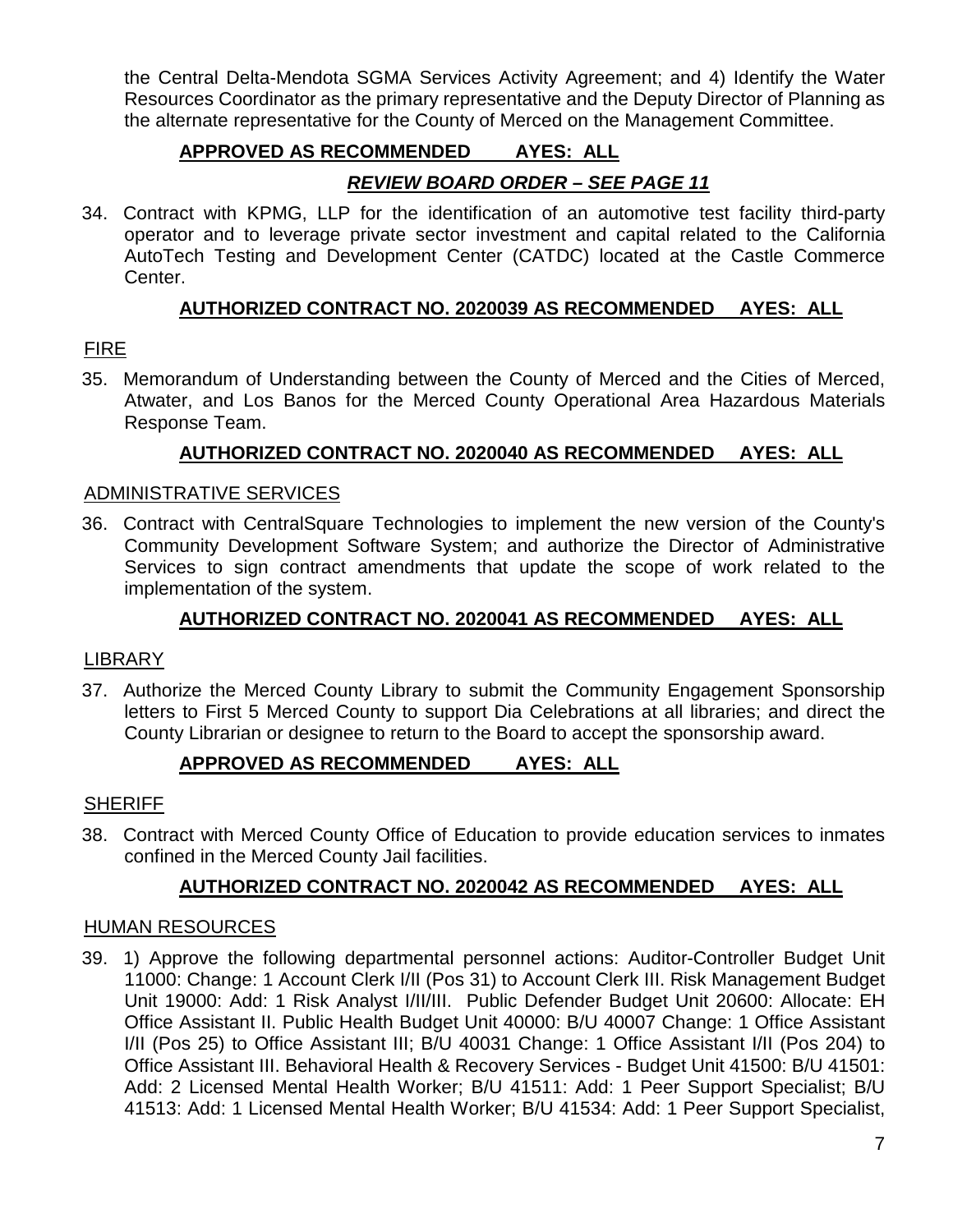the Central Delta-Mendota SGMA Services Activity Agreement; and 4) Identify the Water Resources Coordinator as the primary representative and the Deputy Director of Planning as the alternate representative for the County of Merced on the Management Committee.

# **APPROVED AS RECOMMENDED AYES: ALL**

# *REVIEW BOARD ORDER – SEE PAGE 11*

34. Contract with KPMG, LLP for the identification of an automotive test facility third-party operator and to leverage private sector investment and capital related to the California AutoTech Testing and Development Center (CATDC) located at the Castle Commerce Center.

# **AUTHORIZED CONTRACT NO. 2020039 AS RECOMMENDED AYES: ALL**

# FIRE

35. Memorandum of Understanding between the County of Merced and the Cities of Merced, Atwater, and Los Banos for the Merced County Operational Area Hazardous Materials Response Team.

# **AUTHORIZED CONTRACT NO. 2020040 AS RECOMMENDED AYES: ALL**

#### ADMINISTRATIVE SERVICES

36. Contract with CentralSquare Technologies to implement the new version of the County's Community Development Software System; and authorize the Director of Administrative Services to sign contract amendments that update the scope of work related to the implementation of the system.

# **AUTHORIZED CONTRACT NO. 2020041 AS RECOMMENDED AYES: ALL**

#### LIBRARY

37. Authorize the Merced County Library to submit the Community Engagement Sponsorship letters to First 5 Merced County to support Dia Celebrations at all libraries; and direct the County Librarian or designee to return to the Board to accept the sponsorship award.

# **APPROVED AS RECOMMENDED AYES: ALL**

#### **SHERIFF**

38. Contract with Merced County Office of Education to provide education services to inmates confined in the Merced County Jail facilities.

# **AUTHORIZED CONTRACT NO. 2020042 AS RECOMMENDED AYES: ALL**

#### HUMAN RESOURCES

39. 1) Approve the following departmental personnel actions: Auditor-Controller Budget Unit 11000: Change: 1 Account Clerk I/II (Pos 31) to Account Clerk III. Risk Management Budget Unit 19000: Add: 1 Risk Analyst I/II/III. Public Defender Budget Unit 20600: Allocate: EH Office Assistant II. Public Health Budget Unit 40000: B/U 40007 Change: 1 Office Assistant I/II (Pos 25) to Office Assistant III; B/U 40031 Change: 1 Office Assistant I/II (Pos 204) to Office Assistant III. Behavioral Health & Recovery Services - Budget Unit 41500: B/U 41501: Add: 2 Licensed Mental Health Worker; B/U 41511: Add: 1 Peer Support Specialist; B/U 41513: Add: 1 Licensed Mental Health Worker; B/U 41534: Add: 1 Peer Support Specialist,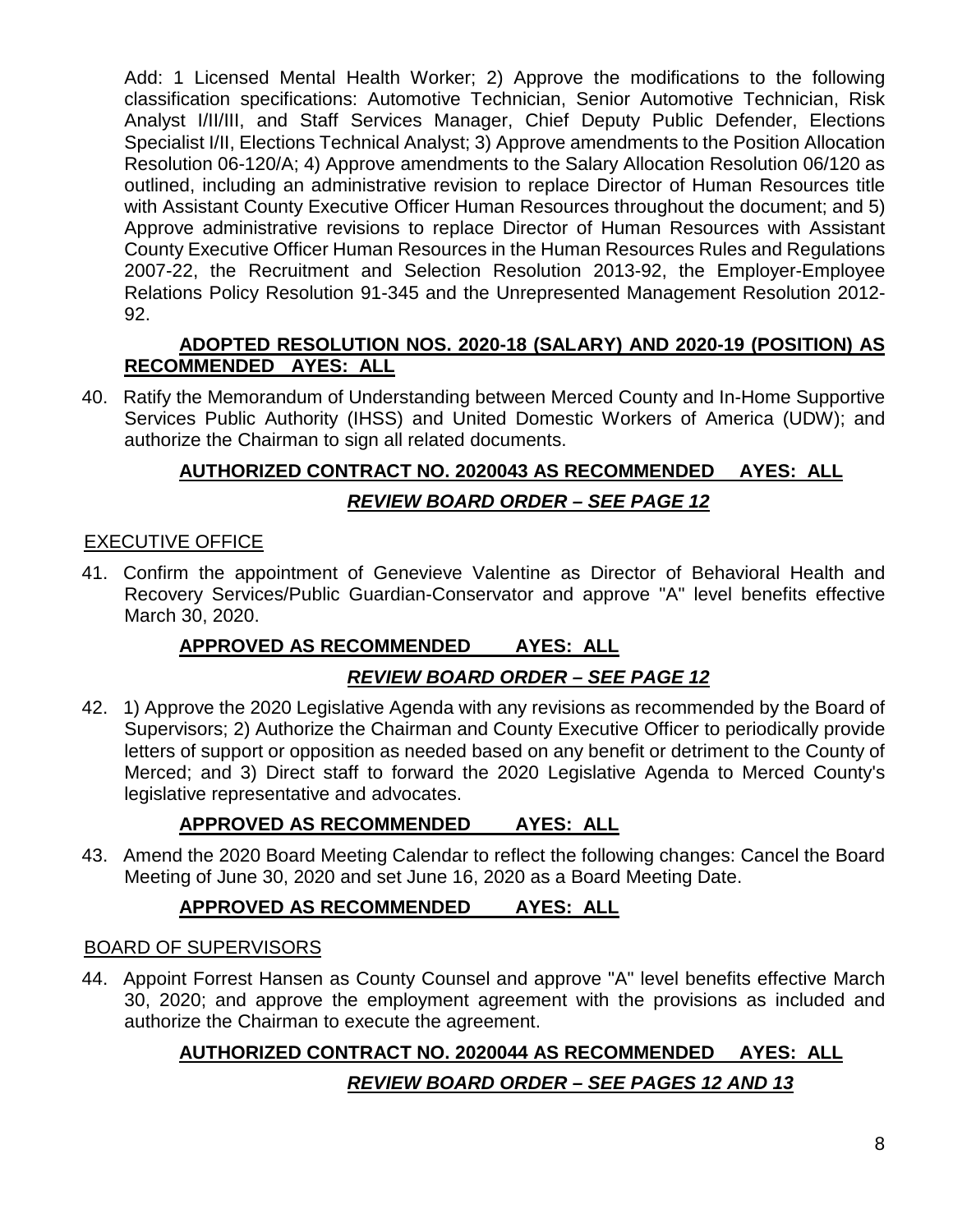Add: 1 Licensed Mental Health Worker; 2) Approve the modifications to the following classification specifications: Automotive Technician, Senior Automotive Technician, Risk Analyst I/II/III, and Staff Services Manager, Chief Deputy Public Defender, Elections Specialist I/II, Elections Technical Analyst; 3) Approve amendments to the Position Allocation Resolution 06-120/A; 4) Approve amendments to the Salary Allocation Resolution 06/120 as outlined, including an administrative revision to replace Director of Human Resources title with Assistant County Executive Officer Human Resources throughout the document; and 5) Approve administrative revisions to replace Director of Human Resources with Assistant County Executive Officer Human Resources in the Human Resources Rules and Regulations 2007-22, the Recruitment and Selection Resolution 2013-92, the Employer-Employee Relations Policy Resolution 91-345 and the Unrepresented Management Resolution 2012- 92.

# **ADOPTED RESOLUTION NOS. 2020-18 (SALARY) AND 2020-19 (POSITION) AS RECOMMENDED AYES: ALL**

40. Ratify the Memorandum of Understanding between Merced County and In-Home Supportive Services Public Authority (IHSS) and United Domestic Workers of America (UDW); and authorize the Chairman to sign all related documents.

# **AUTHORIZED CONTRACT NO. 2020043 AS RECOMMENDED AYES: ALL** *REVIEW BOARD ORDER – SEE PAGE 12*

# EXECUTIVE OFFICE

41. Confirm the appointment of Genevieve Valentine as Director of Behavioral Health and Recovery Services/Public Guardian-Conservator and approve "A" level benefits effective March 30, 2020.

# **APPROVED AS RECOMMENDED AYES: ALL**

# *REVIEW BOARD ORDER – SEE PAGE 12*

42. 1) Approve the 2020 Legislative Agenda with any revisions as recommended by the Board of Supervisors; 2) Authorize the Chairman and County Executive Officer to periodically provide letters of support or opposition as needed based on any benefit or detriment to the County of Merced; and 3) Direct staff to forward the 2020 Legislative Agenda to Merced County's legislative representative and advocates.

# **APPROVED AS RECOMMENDED AYES: ALL**

43. Amend the 2020 Board Meeting Calendar to reflect the following changes: Cancel the Board Meeting of June 30, 2020 and set June 16, 2020 as a Board Meeting Date.

# **APPROVED AS RECOMMENDED AYES: ALL**

# BOARD OF SUPERVISORS

44. Appoint Forrest Hansen as County Counsel and approve "A" level benefits effective March 30, 2020; and approve the employment agreement with the provisions as included and authorize the Chairman to execute the agreement.

# **AUTHORIZED CONTRACT NO. 2020044 AS RECOMMENDED AYES: ALL** *REVIEW BOARD ORDER – SEE PAGES 12 AND 13*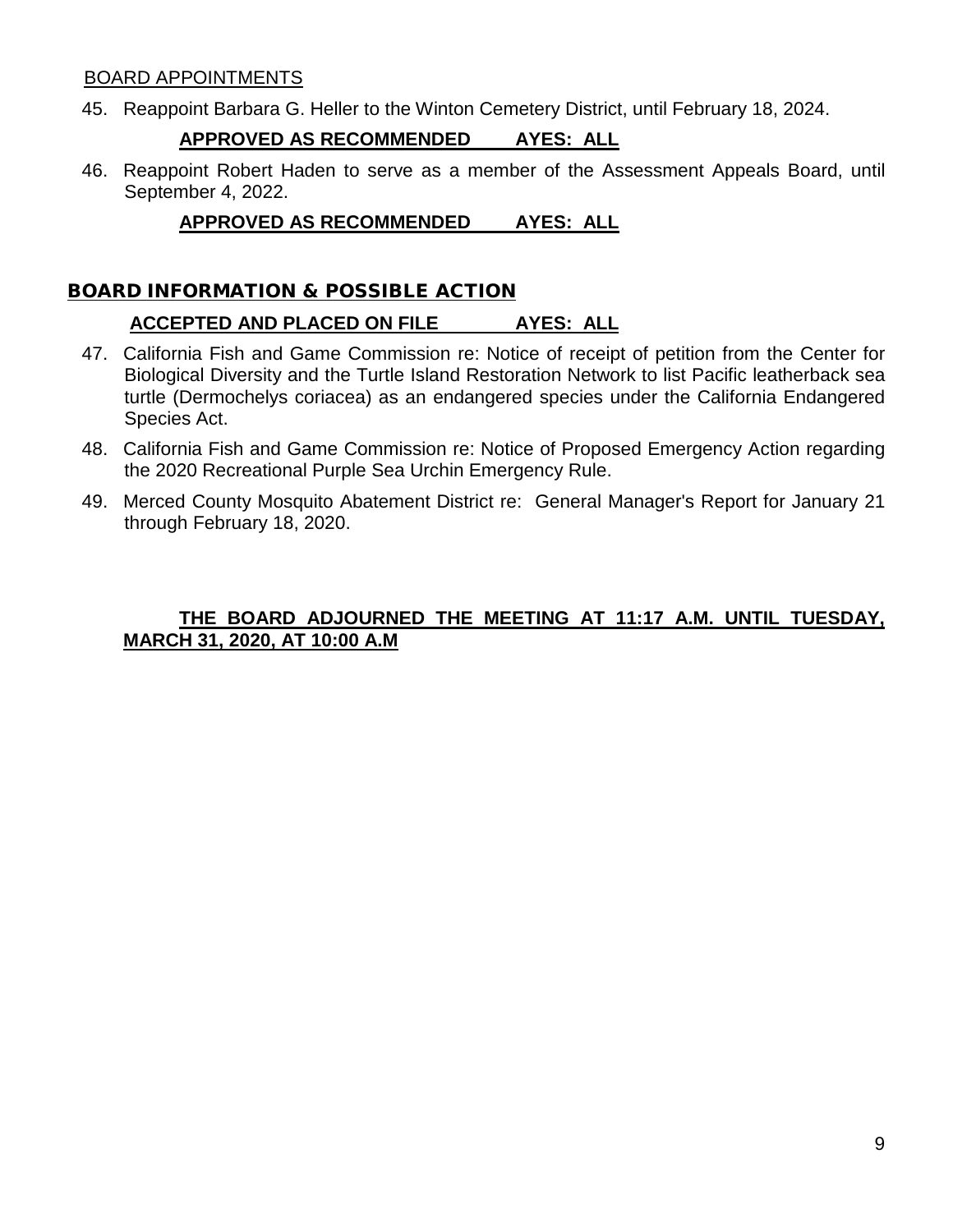#### BOARD APPOINTMENTS

45. Reappoint Barbara G. Heller to the Winton Cemetery District, until February 18, 2024.

# **APPROVED AS RECOMMENDED AYES: ALL**

46. Reappoint Robert Haden to serve as a member of the Assessment Appeals Board, until September 4, 2022.

# **APPROVED AS RECOMMENDED AYES: ALL**

# BOARD INFORMATION & POSSIBLE ACTION

#### **ACCEPTED AND PLACED ON FILE AYES: ALL**

- 47. California Fish and Game Commission re: Notice of receipt of petition from the Center for Biological Diversity and the Turtle Island Restoration Network to list Pacific leatherback sea turtle (Dermochelys coriacea) as an endangered species under the California Endangered Species Act.
- 48. California Fish and Game Commission re: Notice of Proposed Emergency Action regarding the 2020 Recreational Purple Sea Urchin Emergency Rule.
- 49. Merced County Mosquito Abatement District re: General Manager's Report for January 21 through February 18, 2020.

# **THE BOARD ADJOURNED THE MEETING AT 11:17 A.M. UNTIL TUESDAY, MARCH 31, 2020, AT 10:00 A.M**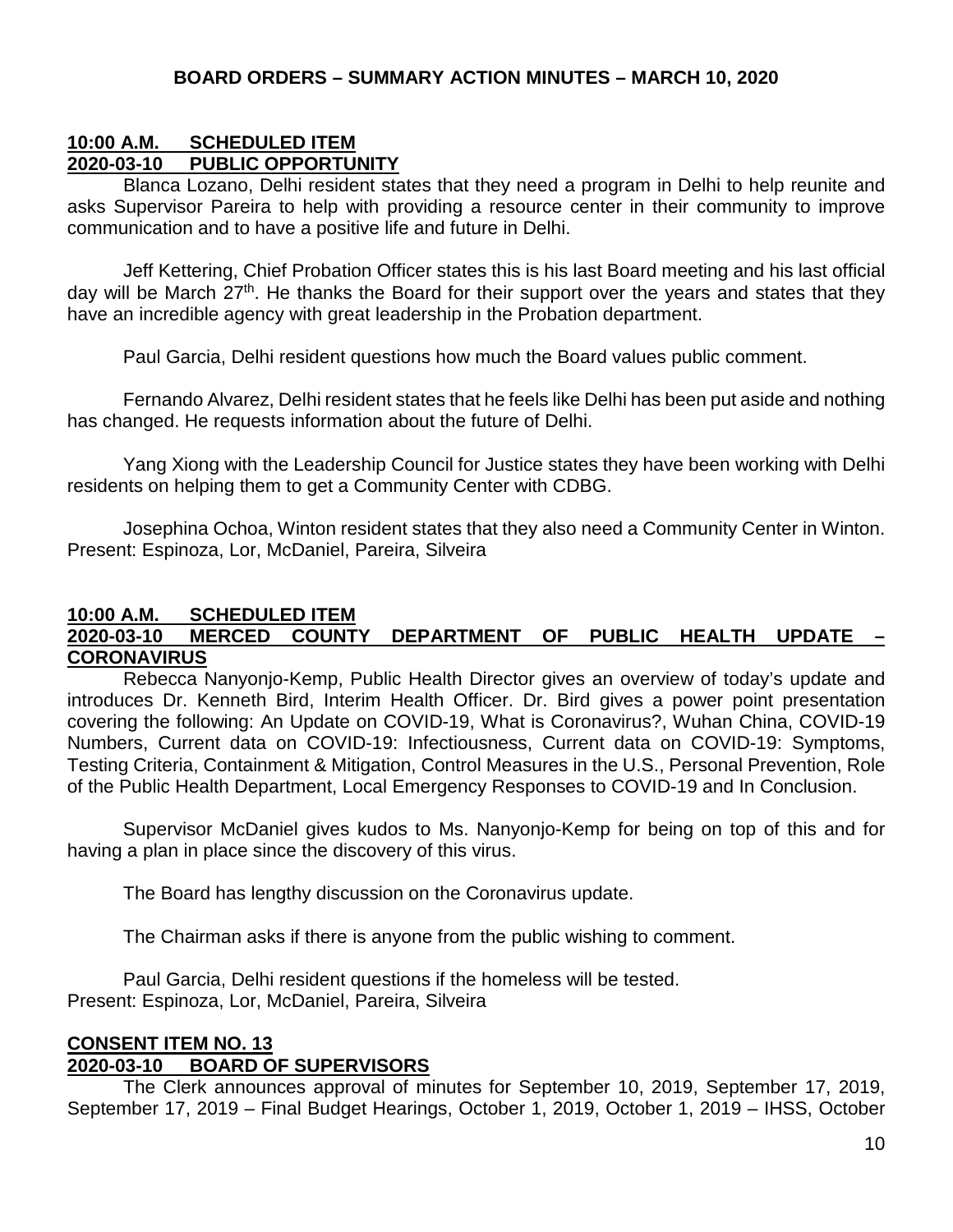#### **10:00 A.M. SCHEDULED ITEM 2020-03-10 PUBLIC OPPORTUNITY**

Blanca Lozano, Delhi resident states that they need a program in Delhi to help reunite and asks Supervisor Pareira to help with providing a resource center in their community to improve communication and to have a positive life and future in Delhi.

Jeff Kettering, Chief Probation Officer states this is his last Board meeting and his last official day will be March 27<sup>th</sup>. He thanks the Board for their support over the years and states that they have an incredible agency with great leadership in the Probation department.

Paul Garcia, Delhi resident questions how much the Board values public comment.

Fernando Alvarez, Delhi resident states that he feels like Delhi has been put aside and nothing has changed. He requests information about the future of Delhi.

Yang Xiong with the Leadership Council for Justice states they have been working with Delhi residents on helping them to get a Community Center with CDBG.

Josephina Ochoa, Winton resident states that they also need a Community Center in Winton. Present: Espinoza, Lor, McDaniel, Pareira, Silveira

#### **10:00 A.M. SCHEDULED ITEM 2020-03-10 MERCED COUNTY DEPARTMENT OF PUBLIC HEALTH UPDATE – CORONAVIRUS**

Rebecca Nanyonjo-Kemp, Public Health Director gives an overview of today's update and introduces Dr. Kenneth Bird, Interim Health Officer. Dr. Bird gives a power point presentation covering the following: An Update on COVID-19, What is Coronavirus?, Wuhan China, COVID-19 Numbers, Current data on COVID-19: Infectiousness, Current data on COVID-19: Symptoms, Testing Criteria, Containment & Mitigation, Control Measures in the U.S., Personal Prevention, Role of the Public Health Department, Local Emergency Responses to COVID-19 and In Conclusion.

Supervisor McDaniel gives kudos to Ms. Nanyonjo-Kemp for being on top of this and for having a plan in place since the discovery of this virus.

The Board has lengthy discussion on the Coronavirus update.

The Chairman asks if there is anyone from the public wishing to comment.

Paul Garcia, Delhi resident questions if the homeless will be tested. Present: Espinoza, Lor, McDaniel, Pareira, Silveira

#### **CONSENT ITEM NO. 13 2020-03-10 BOARD OF SUPERVISORS**

The Clerk announces approval of minutes for September 10, 2019, September 17, 2019, September 17, 2019 – Final Budget Hearings, October 1, 2019, October 1, 2019 – IHSS, October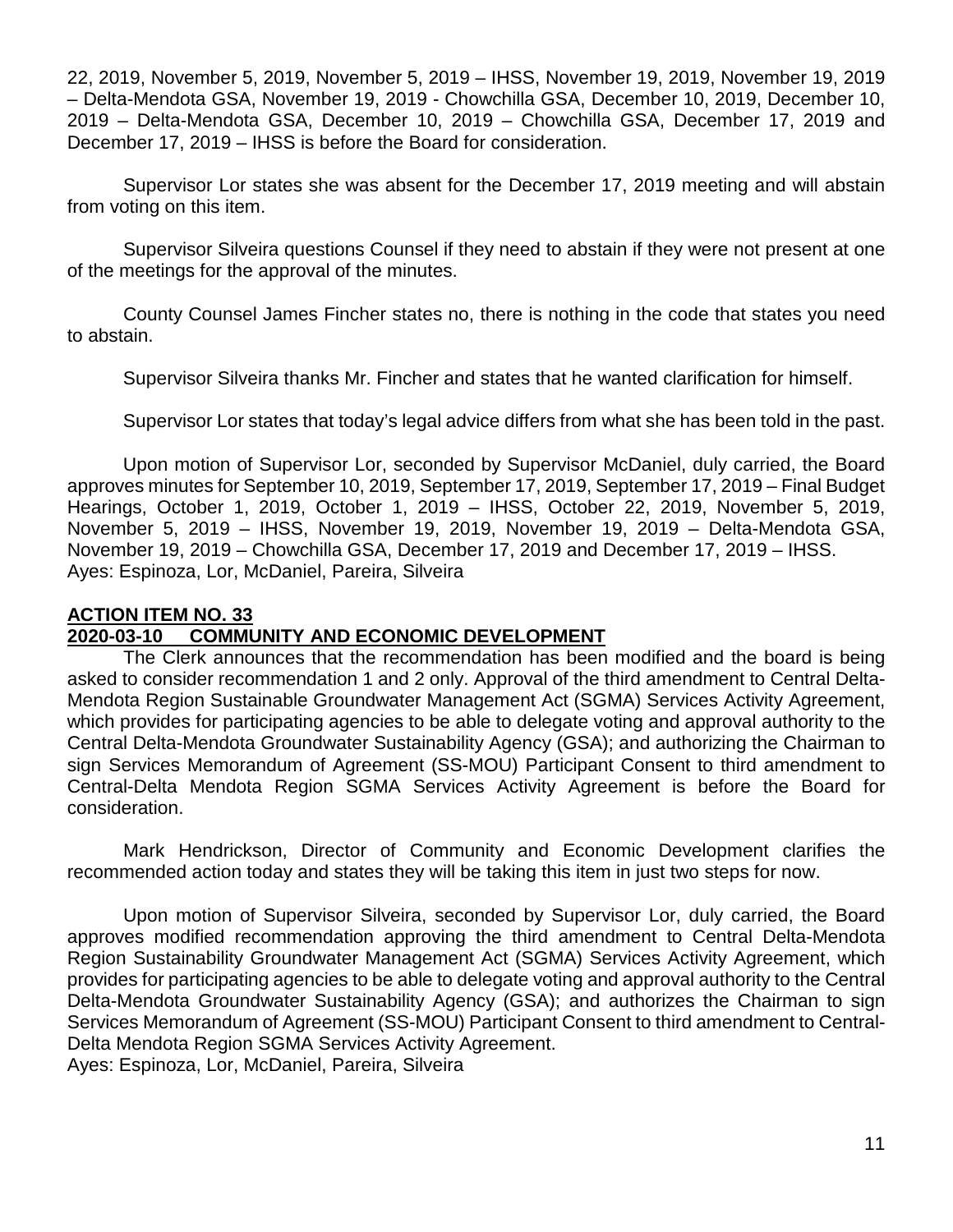22, 2019, November 5, 2019, November 5, 2019 – IHSS, November 19, 2019, November 19, 2019 – Delta-Mendota GSA, November 19, 2019 - Chowchilla GSA, December 10, 2019, December 10, 2019 – Delta-Mendota GSA, December 10, 2019 – Chowchilla GSA, December 17, 2019 and December 17, 2019 – IHSS is before the Board for consideration.

Supervisor Lor states she was absent for the December 17, 2019 meeting and will abstain from voting on this item.

Supervisor Silveira questions Counsel if they need to abstain if they were not present at one of the meetings for the approval of the minutes.

County Counsel James Fincher states no, there is nothing in the code that states you need to abstain.

Supervisor Silveira thanks Mr. Fincher and states that he wanted clarification for himself.

Supervisor Lor states that today's legal advice differs from what she has been told in the past.

Upon motion of Supervisor Lor, seconded by Supervisor McDaniel, duly carried, the Board approves minutes for September 10, 2019, September 17, 2019, September 17, 2019 – Final Budget Hearings, October 1, 2019, October 1, 2019 – IHSS, October 22, 2019, November 5, 2019, November 5, 2019 – IHSS, November 19, 2019, November 19, 2019 – Delta-Mendota GSA, November 19, 2019 – Chowchilla GSA, December 17, 2019 and December 17, 2019 – IHSS. Ayes: Espinoza, Lor, McDaniel, Pareira, Silveira

# **ACTION ITEM NO. 33**

# **2020-03-10 COMMUNITY AND ECONOMIC DEVELOPMENT**

The Clerk announces that the recommendation has been modified and the board is being asked to consider recommendation 1 and 2 only. Approval of the third amendment to Central Delta-Mendota Region Sustainable Groundwater Management Act (SGMA) Services Activity Agreement, which provides for participating agencies to be able to delegate voting and approval authority to the Central Delta-Mendota Groundwater Sustainability Agency (GSA); and authorizing the Chairman to sign Services Memorandum of Agreement (SS-MOU) Participant Consent to third amendment to Central-Delta Mendota Region SGMA Services Activity Agreement is before the Board for consideration.

Mark Hendrickson, Director of Community and Economic Development clarifies the recommended action today and states they will be taking this item in just two steps for now.

Upon motion of Supervisor Silveira, seconded by Supervisor Lor, duly carried, the Board approves modified recommendation approving the third amendment to Central Delta-Mendota Region Sustainability Groundwater Management Act (SGMA) Services Activity Agreement, which provides for participating agencies to be able to delegate voting and approval authority to the Central Delta-Mendota Groundwater Sustainability Agency (GSA); and authorizes the Chairman to sign Services Memorandum of Agreement (SS-MOU) Participant Consent to third amendment to Central-Delta Mendota Region SGMA Services Activity Agreement.

Ayes: Espinoza, Lor, McDaniel, Pareira, Silveira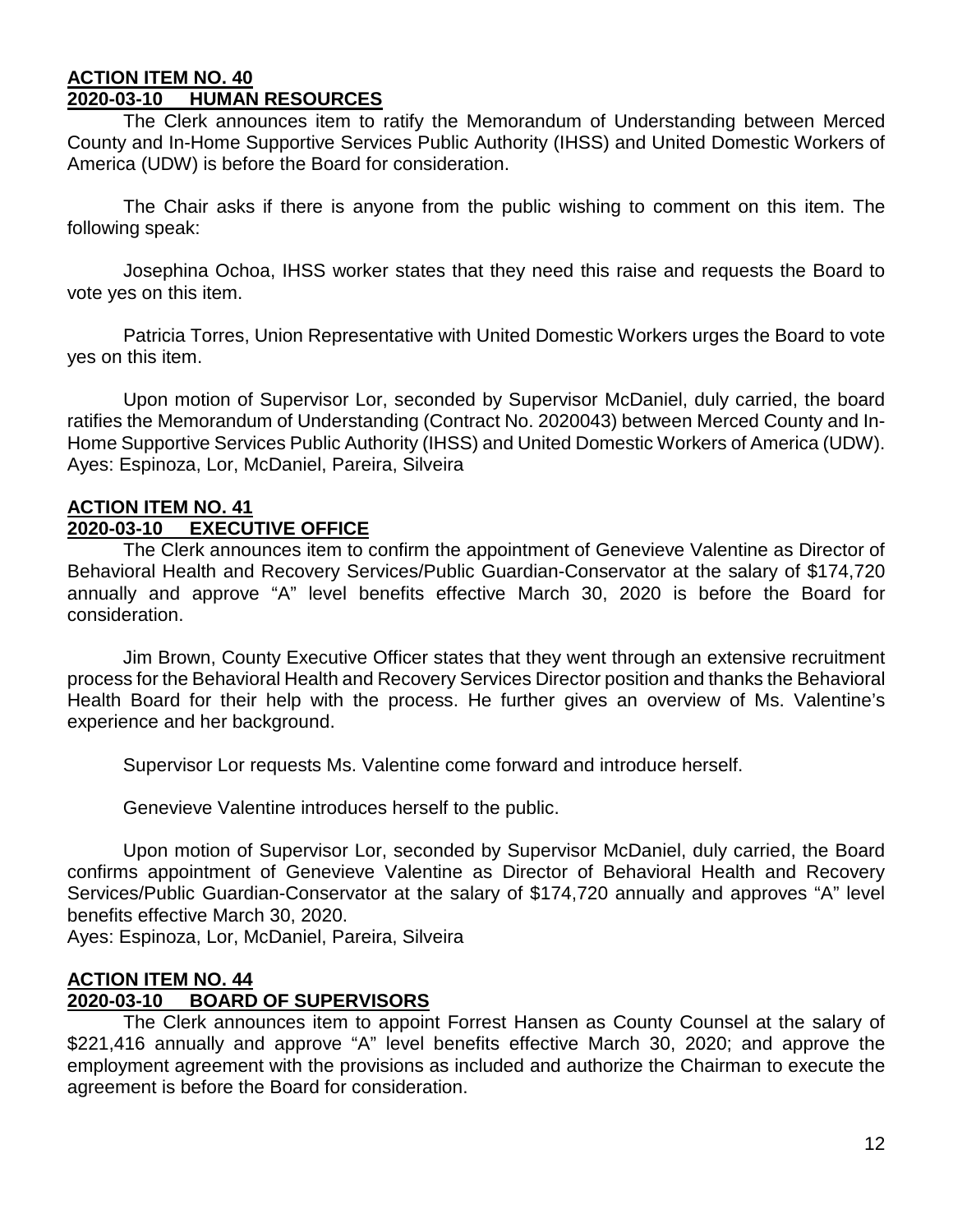#### **ACTION ITEM NO. 40 2020-03-10 HUMAN RESOURCES**

The Clerk announces item to ratify the Memorandum of Understanding between Merced County and In-Home Supportive Services Public Authority (IHSS) and United Domestic Workers of America (UDW) is before the Board for consideration.

The Chair asks if there is anyone from the public wishing to comment on this item. The following speak:

Josephina Ochoa, IHSS worker states that they need this raise and requests the Board to vote yes on this item.

Patricia Torres, Union Representative with United Domestic Workers urges the Board to vote yes on this item.

Upon motion of Supervisor Lor, seconded by Supervisor McDaniel, duly carried, the board ratifies the Memorandum of Understanding (Contract No. 2020043) between Merced County and In-Home Supportive Services Public Authority (IHSS) and United Domestic Workers of America (UDW). Ayes: Espinoza, Lor, McDaniel, Pareira, Silveira

#### **ACTION ITEM NO. 41 EXECUTIVE OFFICE**

The Clerk announces item to confirm the appointment of Genevieve Valentine as Director of Behavioral Health and Recovery Services/Public Guardian-Conservator at the salary of \$174,720 annually and approve "A" level benefits effective March 30, 2020 is before the Board for consideration.

Jim Brown, County Executive Officer states that they went through an extensive recruitment process for the Behavioral Health and Recovery Services Director position and thanks the Behavioral Health Board for their help with the process. He further gives an overview of Ms. Valentine's experience and her background.

Supervisor Lor requests Ms. Valentine come forward and introduce herself.

Genevieve Valentine introduces herself to the public.

Upon motion of Supervisor Lor, seconded by Supervisor McDaniel, duly carried, the Board confirms appointment of Genevieve Valentine as Director of Behavioral Health and Recovery Services/Public Guardian-Conservator at the salary of \$174,720 annually and approves "A" level benefits effective March 30, 2020.

Ayes: Espinoza, Lor, McDaniel, Pareira, Silveira

# **ACTION ITEM NO. 44**

#### **2020-03-10 BOARD OF SUPERVISORS**

The Clerk announces item to appoint Forrest Hansen as County Counsel at the salary of \$221,416 annually and approve "A" level benefits effective March 30, 2020; and approve the employment agreement with the provisions as included and authorize the Chairman to execute the agreement is before the Board for consideration.